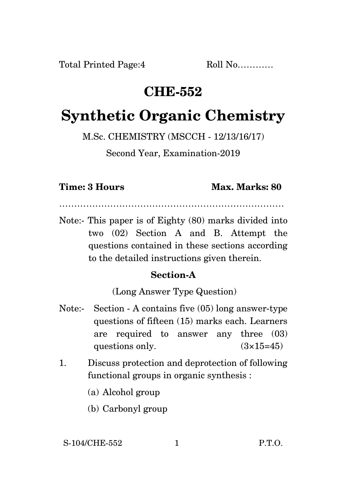## **CHE-552**

# **Synthetic Organic Chemistry**

M.Sc. CHEMISTRY (MSCCH - 12/13/16/17)

Second Year, Examination-2019

#### **Time: 3 Hours Max. Marks: 80**

…………………………………………………………………

Note:- This paper is of Eighty (80) marks divided into two (02) Section A and B. Attempt the questions contained in these sections according to the detailed instructions given therein.

### **Section-A**

(Long Answer Type Question)

- Note:- Section A contains five (05) long answer-type questions of fifteen (15) marks each. Learners are required to answer any three (03) questions only.  $(3\times15=45)$
- 1. Discuss protection and deprotection of following functional groups in organic synthesis :
	- (a) Alcohol group
	- (b) Carbonyl group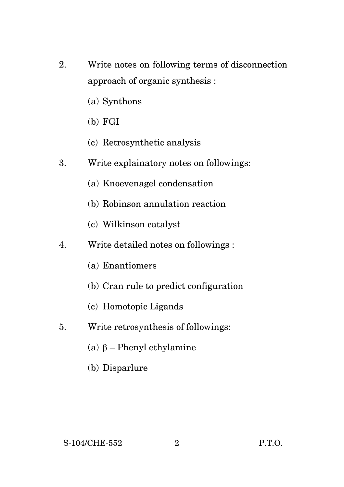- 2. Write notes on following terms of disconnection approach of organic synthesis :
	- (a) Synthons
	- (b) FGI
	- (c) Retrosynthetic analysis
- 3. Write explainatory notes on followings:
	- (a) Knoevenagel condensation
	- (b) Robinson annulation reaction
	- (c) Wilkinson catalyst
- 4. Write detailed notes on followings :
	- (a) Enantiomers
	- (b) Cran rule to predict configuration
	- (c) Homotopic Ligands
- 5. Write retrosynthesis of followings:
	- (a) β Phenyl ethylamine
	- (b) Disparlure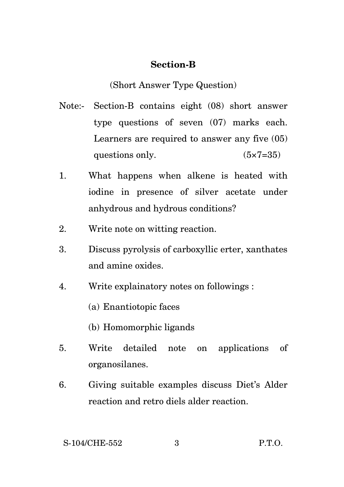#### **Section-B**

(Short Answer Type Question)

- Note:- Section-B contains eight (08) short answer type questions of seven (07) marks each. Learners are required to answer any five (05) questions only.  $(5 \times 7 = 35)$
- 1. What happens when alkene is heated with iodine in presence of silver acetate under anhydrous and hydrous conditions?
- 2. Write note on witting reaction.
- 3. Discuss pyrolysis of carboxyllic erter, xanthates and amine oxides.
- 4. Write explainatory notes on followings :
	- (a) Enantiotopic faces
	- (b) Homomorphic ligands
- 5. Write detailed note on applications of organosilanes.
- 6. Giving suitable examples discuss Diet's Alder reaction and retro diels alder reaction.